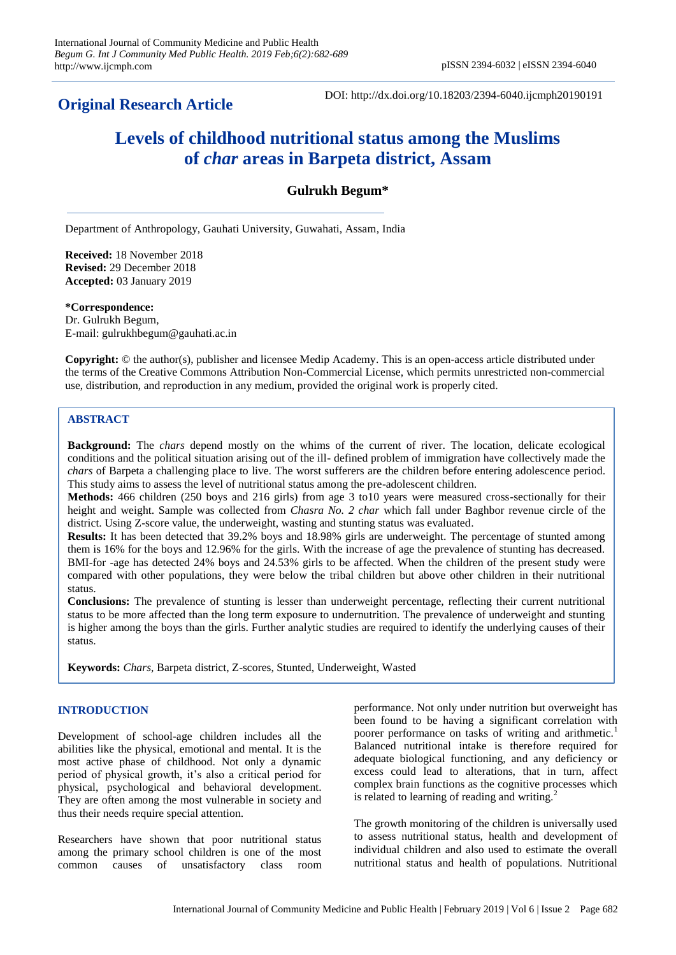# **Original Research Article**

DOI: http://dx.doi.org/10.18203/2394-6040.ijcmph20190191

# **Levels of childhood nutritional status among the Muslims of** *char* **areas in Barpeta district, Assam**

# **Gulrukh Begum\***

Department of Anthropology, Gauhati University, Guwahati, Assam, India

**Received:** 18 November 2018 **Revised:** 29 December 2018 **Accepted:** 03 January 2019

**\*Correspondence:** Dr. Gulrukh Begum, E-mail: gulrukhbegum@gauhati.ac.in

**Copyright:** © the author(s), publisher and licensee Medip Academy. This is an open-access article distributed under the terms of the Creative Commons Attribution Non-Commercial License, which permits unrestricted non-commercial use, distribution, and reproduction in any medium, provided the original work is properly cited.

## **ABSTRACT**

**Background:** The *chars* depend mostly on the whims of the current of river. The location, delicate ecological conditions and the political situation arising out of the ill- defined problem of immigration have collectively made the *chars* of Barpeta a challenging place to live. The worst sufferers are the children before entering adolescence period. This study aims to assess the level of nutritional status among the pre-adolescent children.

**Methods:** 466 children (250 boys and 216 girls) from age 3 to10 years were measured cross-sectionally for their height and weight. Sample was collected from *Chasra No. 2 char* which fall under Baghbor revenue circle of the district. Using Z-score value, the underweight, wasting and stunting status was evaluated.

**Results:** It has been detected that 39.2% boys and 18.98% girls are underweight. The percentage of stunted among them is 16% for the boys and 12.96% for the girls. With the increase of age the prevalence of stunting has decreased. BMI-for -age has detected 24% boys and 24.53% girls to be affected. When the children of the present study were compared with other populations, they were below the tribal children but above other children in their nutritional status.

**Conclusions:** The prevalence of stunting is lesser than underweight percentage, reflecting their current nutritional status to be more affected than the long term exposure to undernutrition. The prevalence of underweight and stunting is higher among the boys than the girls. Further analytic studies are required to identify the underlying causes of their status.

**Keywords:** *Chars,* Barpeta district, Z-scores, Stunted, Underweight, Wasted

#### **INTRODUCTION**

Development of school-age children includes all the abilities like the physical, emotional and mental. It is the most active phase of childhood. Not only a dynamic period of physical growth, it's also a critical period for physical, psychological and behavioral development. They are often among the most vulnerable in society and thus their needs require special attention.

Researchers have shown that poor nutritional status among the primary school children is one of the most common causes of unsatisfactory class room performance. Not only under nutrition but overweight has been found to be having a significant correlation with poorer performance on tasks of writing and arithmetic.<sup>1</sup> Balanced nutritional intake is therefore required for adequate biological functioning, and any deficiency or excess could lead to alterations, that in turn, affect complex brain functions as the cognitive processes which is related to learning of reading and writing. $^{2}$ 

The growth monitoring of the children is universally used to assess nutritional status, health and development of individual children and also used to estimate the overall nutritional status and health of populations. Nutritional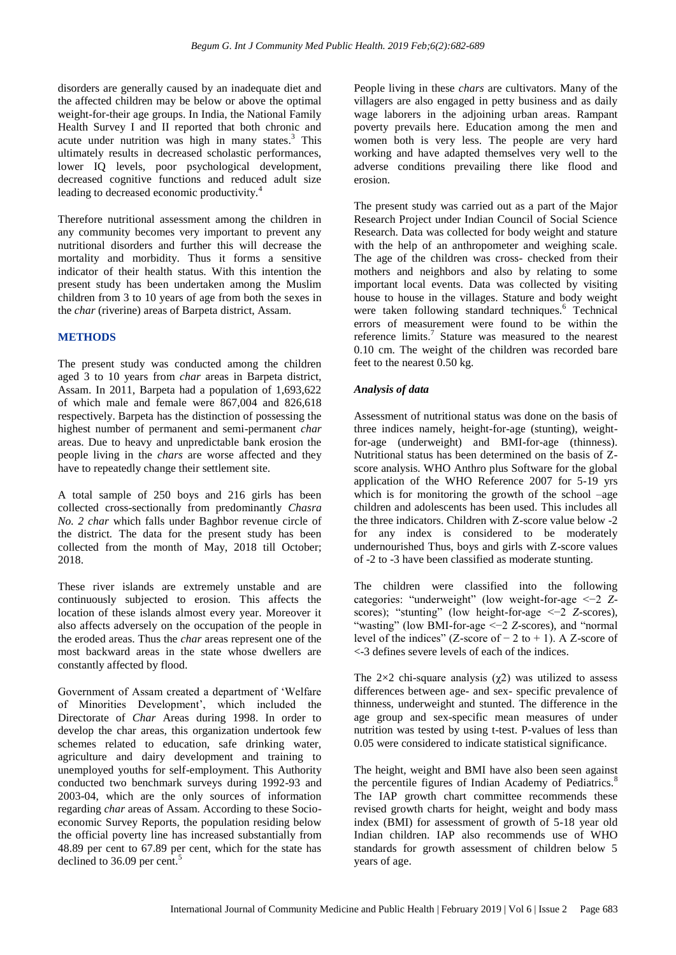disorders are generally caused by an inadequate diet and the affected children may be below or above the optimal weight-for-their age groups. In India, the National Family Health Survey I and II reported that both chronic and acute under nutrition was high in many states. <sup>3</sup> This ultimately results in decreased scholastic performances, lower IQ levels, poor psychological development, decreased cognitive functions and reduced adult size leading to decreased economic productivity.<sup>4</sup>

Therefore nutritional assessment among the children in any community becomes very important to prevent any nutritional disorders and further this will decrease the mortality and morbidity. Thus it forms a sensitive indicator of their health status. With this intention the present study has been undertaken among the Muslim children from 3 to 10 years of age from both the sexes in the *char* (riverine) areas of Barpeta district, Assam.

## **METHODS**

The present study was conducted among the children aged 3 to 10 years from *char* areas in Barpeta district, Assam. In 2011, Barpeta had a population of 1,693,622 of which male and female were 867,004 and 826,618 respectively. Barpeta has the distinction of possessing the highest number of permanent and semi-permanent *char*  areas. Due to heavy and unpredictable bank erosion the people living in the *chars* are worse affected and they have to repeatedly change their settlement site.

A total sample of 250 boys and 216 girls has been collected cross-sectionally from predominantly *Chasra No. 2 char* which falls under Baghbor revenue circle of the district*.* The data for the present study has been collected from the month of May, 2018 till October; 2018.

These river islands are extremely unstable and are continuously subjected to erosion. This affects the location of these islands almost every year. Moreover it also affects adversely on the occupation of the people in the eroded areas. Thus the *char* areas represent one of the most backward areas in the state whose dwellers are constantly affected by flood.

Government of Assam created a department of "Welfare of Minorities Development", which included the Directorate of *Char* Areas during 1998. In order to develop the char areas, this organization undertook few schemes related to education, safe drinking water, agriculture and dairy development and training to unemployed youths for self-employment. This Authority conducted two benchmark surveys during 1992-93 and 2003-04, which are the only sources of information regarding *char* areas of Assam. According to these Socioeconomic Survey Reports, the population residing below the official poverty line has increased substantially from 48.89 per cent to 67.89 per cent, which for the state has declined to 36.09 per cent.<sup>5</sup>

People living in these *chars* are cultivators. Many of the villagers are also engaged in petty business and as daily wage laborers in the adjoining urban areas. Rampant poverty prevails here. Education among the men and women both is very less. The people are very hard working and have adapted themselves very well to the adverse conditions prevailing there like flood and erosion.

The present study was carried out as a part of the Major Research Project under Indian Council of Social Science Research. Data was collected for body weight and stature with the help of an anthropometer and weighing scale. The age of the children was cross- checked from their mothers and neighbors and also by relating to some important local events. Data was collected by visiting house to house in the villages. Stature and body weight were taken following standard techniques.<sup>6</sup> Technical errors of measurement were found to be within the reference limits.<sup>7</sup> Stature was measured to the nearest 0.10 cm. The weight of the children was recorded bare feet to the nearest 0.50 kg.

# *Analysis of data*

Assessment of nutritional status was done on the basis of three indices namely, height-for-age (stunting), weightfor-age (underweight) and BMI-for-age (thinness). Nutritional status has been determined on the basis of Zscore analysis. WHO Anthro plus Software for the global application of the WHO Reference 2007 for 5-19 yrs which is for monitoring the growth of the school –age children and adolescents has been used. This includes all the three indicators. Children with Z-score value below -2 for any index is considered to be moderately undernourished Thus, boys and girls with Z-score values of -2 to -3 have been classified as moderate stunting.

The children were classified into the following categories: "underweight" (low weight-for-age <−2 *Z*scores); "stunting" (low height-for-age <−2 *Z*-scores), "wasting" (low BMI-for-age <−2 *Z*-scores), and "normal level of the indices" (Z-score of  $-2$  to  $+ 1$ ). A Z-score of <-3 defines severe levels of each of the indices.

The  $2\times2$  chi-square analysis ( $\chi$ 2) was utilized to assess differences between age- and sex- specific prevalence of thinness, underweight and stunted. The difference in the age group and sex-specific mean measures of under nutrition was tested by using t-test. P-values of less than 0.05 were considered to indicate statistical significance.

The height, weight and BMI have also been seen against the percentile figures of Indian Academy of Pediatrics.<sup>8</sup> The IAP growth chart committee recommends these revised growth charts for height, weight and body mass index (BMI) for assessment of growth of 5-18 year old Indian children. IAP also recommends use of WHO standards for growth assessment of children below 5 years of age.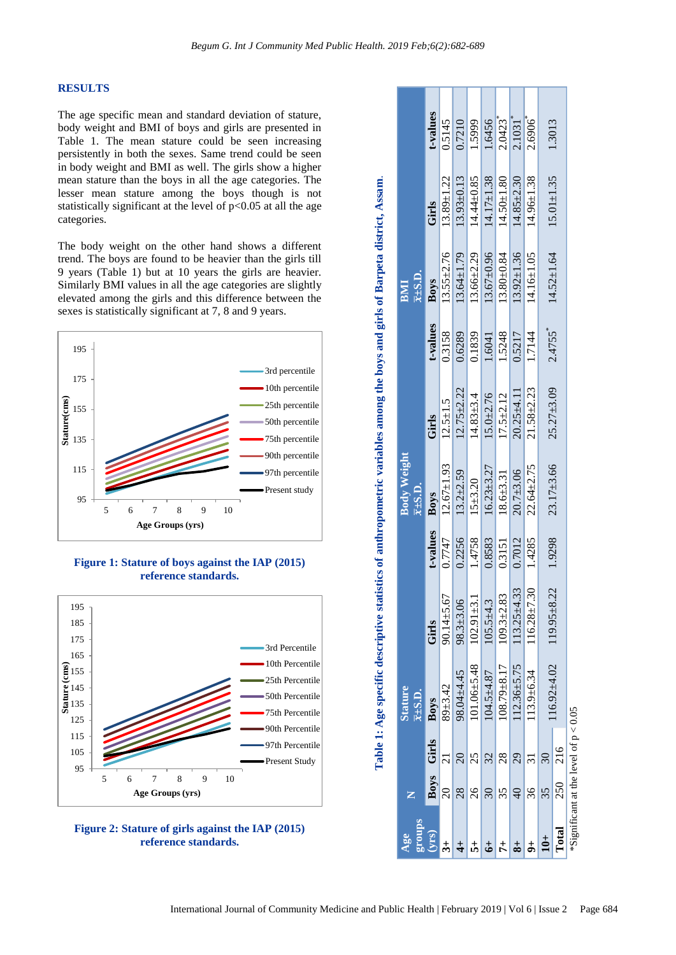#### **RESULTS**

The age specific mean and standard deviation of stature, body weight and BMI of boys and girls are presented in Table 1. The mean stature could be seen increasing persistently in both the sexes. Same trend could be seen in body weight and BMI as well. The girls show a higher mean stature than the boys in all the age categories. The lesser mean stature among the boys though is not statistically significant at the level of  $p<0.05$  at all the age categories.

The body weight on the other hand shows a different trend. The boys are found to be heavier than the girls till 9 years (Table 1) but at 10 years the girls are heavier. Similarly BMI values in all the age categories are slightly elevated among the girls and this difference between the sexes is statistically significant at 7, 8 and 9 years.



**Figure 1: Stature of boys against the IAP (2015) reference standards.**





| roups<br>Age                            |                          |                 | <b>Stature</b><br>$\overline{x}$ ± S.D. |                   |          | <b>Body Weight</b><br>$\overline{x}$ ± S.D. |                  |          | $\overline{x}$ ±S.D.<br>BMI |                  |                       |
|-----------------------------------------|--------------------------|-----------------|-----------------------------------------|-------------------|----------|---------------------------------------------|------------------|----------|-----------------------------|------------------|-----------------------|
|                                         |                          | Boys Girls      | Boys                                    | Girls             | t-values | <b>Boys</b>                                 | Girls            | t-values | <b>Boys</b>                 | Girls            | t-values              |
|                                         | $\overline{\mathcal{S}}$ |                 | $89 + 3.42$                             | $90.14 \pm 5.67$  | 0.7747   | $12.67 \pm 1.93$                            | $12.5 \pm 1.5$   | 0.3158   | $13.55 \pm 2.76$            | $13.89 \pm 1.22$ | 0.5145                |
|                                         | $\overline{28}$          | $\overline{20}$ | 98.04±4.45                              | $98.3 + 3.06$     | 0.2256   | $13.2 + 2.59$                               | $12.75 \pm 2.22$ | 0.6289   | $13.64 \pm 1.79$            | $13.93 \pm 0.13$ | 0.7210                |
|                                         | 26                       | 25              | $101.06 \pm 5.48$                       | $102.91 + 3.1$    | 1.4758   | $15 + 3.20$                                 | $14.83 + 3.4$    | 0.1839   | $13.66 \pm 2.29$            | 14.44±0.85       | 1.5999                |
|                                         | $\overline{30}$          | 32              | $104.5 + 4.87$                          | $105.5 + 4.3$     | 0.8583   | $16.23 \pm 3.27$                            | $15.0 + 2.76$    | 1.6041   | $13.67 \pm 0.96$            | $14.17 \pm 1.38$ | 1.6456                |
|                                         | 35                       | $\overline{28}$ | 108.79±8.17                             | $109.3 + 2.83$    | 0.3151   | $18.6 + 3.31$                               | $17.5 + 2.12$    | 1.5248   | $13.80 + 0.84$              | $14.50 + 1.80$   | $2.0423$ <sup>*</sup> |
|                                         | $\overline{Q}$           | 29              | $112.36 \pm 5.75$                       | $13.25 \pm 4.33$  | 0.7012   | $20.7 + 3.06$                               | $20.25 \pm 4.11$ | 0.5217   | $13.92 \pm 1.36$            | $14.85 \pm 2.30$ | $2.1031$ <sup>*</sup> |
|                                         | 36                       |                 | $113.9 + 6.34$                          | $116.28 \pm 7.3$  | 1.4285   | $22.64 \pm 2.75$                            | $21.58 \pm 2.23$ | 1.7144   | 14.16±1.05                  | $14.96 \pm 1.38$ | 2.6906                |
|                                         | 35                       |                 | 116.92±4.02                             | $119.95 \pm 8.22$ | 1.9298   | $23.17 \pm 3.66$                            | $25.27 \pm 3.09$ | 2.4755   | $14.52 \pm 1.64$            | $15.01 \pm 1.35$ | 1.3013                |
| <b>Lotal</b>                            | 250                      | 216             |                                         |                   |          |                                             |                  |          |                             |                  |                       |
| *Significant at the level of $p < 0.05$ |                          |                 |                                         |                   |          |                                             |                  |          |                             |                  |                       |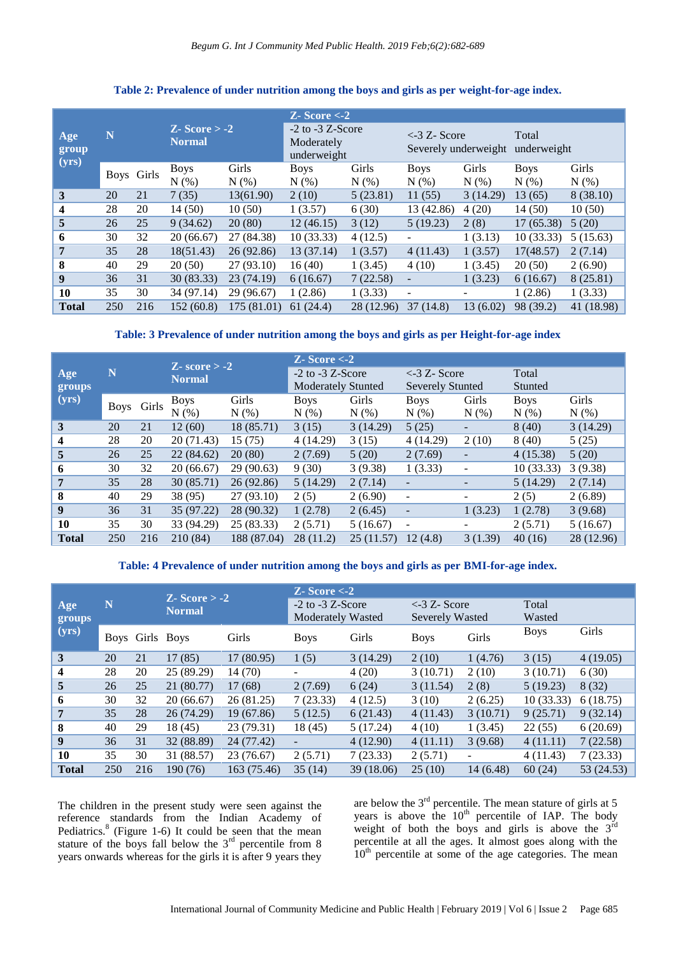|                         |     |            |                                 |             | $Z - Score < -2$                                  |            |                                           |           |                      |              |  |
|-------------------------|-----|------------|---------------------------------|-------------|---------------------------------------------------|------------|-------------------------------------------|-----------|----------------------|--------------|--|
| Age<br>group<br>(yrs)   | N   |            | $Z-Score > -2$<br><b>Normal</b> |             | $-2$ to $-3$ Z-Score<br>Moderately<br>underweight |            | $\leq$ 3 Z- Score<br>Severely underweight |           | Total<br>underweight |              |  |
|                         |     | Boys Girls | <b>Boys</b>                     | Girls       | <b>Boys</b>                                       | Girls      | <b>Boys</b>                               | Girls     | <b>Boys</b>          | Girls        |  |
|                         |     |            | $N(\%)$                         | $N(\%)$     | $N(\%)$                                           | $N(\%)$    | $N(\%)$                                   | $N(\%)$   | $N(\%)$              | $N(\%)$      |  |
| $\mathbf{3}$            | 20  | 21         | 7(35)                           | 13(61.90)   | 2(10)                                             | 5(23.81)   | 11(55)                                    | 3(14.29)  | 13(65)               | 8(38.10)     |  |
| $\overline{\mathbf{4}}$ | 28  | 20         | 14(50)                          | 10(50)      | 1(3.57)                                           | 6(30)      | 13 (42.86)                                | 4(20)     | 14(50)               | 10(50)       |  |
| 5                       | 26  | 25         | 9(34.62)                        | 20(80)      | 12(46.15)                                         | 3(12)      | 5(19.23)                                  | 2(8)      | 17(65.38)            | 5(20)        |  |
| 6                       | 30  | 32         | 20 (66.67)                      | 27 (84.38)  | 10(33.33)                                         | 4(12.5)    | $\overline{\phantom{0}}$                  | 1(3.13)   | 10(33.33)            | 5(15.63)     |  |
| $\overline{7}$          | 35  | 28         | 18(51.43)                       | 26(92.86)   | 13 (37.14)                                        | 1(3.57)    | 4(11.43)                                  | 1(3.57)   | 17(48.57)            | 2(7.14)      |  |
| 8                       | 40  | 29         | 20(50)                          | 27(93.10)   | 16(40)                                            | 1(3.45)    | 4(10)                                     | 1(3.45)   | 20(50)               | 2(6.90)      |  |
| $\boldsymbol{9}$        | 36  | 31         | 30(83.33)                       | 23(74.19)   | 6(16.67)                                          | 7(22.58)   | $\overline{\phantom{a}}$                  | 1(3.23)   | 6(16.67)             | 8 (25.81)    |  |
| 10                      | 35  | 30         | 34 (97.14)                      | 29 (96.67)  | 1(2.86)                                           | 1(3.33)    | ۰                                         |           | 1(2.86)              | 1(3.33)      |  |
| <b>Total</b>            | 250 | 216        | 152 (60.8)                      | 175 (81.01) | 61(24.4)                                          | 28 (12.96) | 37 (14.8)                                 | 13 (6.02) | 98 (39.2)            | 41 $(18.98)$ |  |

# **Table 2: Prevalence of under nutrition among the boys and girls as per weight-for-age index.**

#### **Table: 3 Prevalence of under nutrition among the boys and girls as per Height-for-age index**

|                  |     |            | $Z-score > -2$ |             | $Z-Score < -2$            |           |                                       |         |             |            |  |
|------------------|-----|------------|----------------|-------------|---------------------------|-----------|---------------------------------------|---------|-------------|------------|--|
| Age              | N   |            | <b>Normal</b>  |             | $-2$ to $-3$ Z-Score      |           | $\langle -3 Z - \text{Score} \rangle$ |         | Total       |            |  |
| groups           |     |            |                |             | <b>Moderately Stunted</b> |           | <b>Severely Stunted</b>               |         | Stunted     |            |  |
| (yrs)            |     | Boys Girls | <b>Boys</b>    | Girls       | <b>Boys</b>               | Girls     | <b>Boys</b>                           | Girls   | <b>Boys</b> | Girls      |  |
|                  |     |            | N(% )          | N(% )       | N(% )                     | N(%)      | $N(\%)$                               | $N(\%)$ | $N(\%)$     | $N(\%)$    |  |
| 3                | 20  | 21         | 12(60)         | 18 (85.71)  | 3(15)                     | 3(14.29)  | 5(25)                                 |         | 8(40)       | 3(14.29)   |  |
| $\boldsymbol{4}$ | 28  | 20         | 20 (71.43)     | 15(75)      | 4 (14.29)                 | 3(15)     | 4 (14.29)                             | 2(10)   | 8(40)       | 5(25)      |  |
| 5                | 26  | 25         | 22(84.62)      | 20(80)      | 2(7.69)                   | 5(20)     | 2(7.69)                               |         | 4(15.38)    | 5(20)      |  |
| 6                | 30  | 32         | 20(66.67)      | 29 (90.63)  | 9(30)                     | 3(9.38)   | 1(3.33)                               | -       | 10(33.33)   | 3(9.38)    |  |
| 7                | 35  | 28         | 30(85.71)      | 26 (92.86)  | 5(14.29)                  | 2(7.14)   | ۰                                     |         | 5(14.29)    | 2(7.14)    |  |
| 8                | 40  | 29         | 38 (95)        | 27(93.10)   | 2(5)                      | 2(6.90)   | $\blacksquare$                        |         | 2(5)        | 2(6.89)    |  |
| $\boldsymbol{9}$ | 36  | 31         | 35 (97.22)     | 28 (90.32)  | 1(2.78)                   | 2(6.45)   | $\overline{\phantom{a}}$              | 1(3.23) | 1(2.78)     | 3(9.68)    |  |
| 10               | 35  | 30         | 33 (94.29)     | 25(83.33)   | 2(5.71)                   | 5(16.67)  | $\overline{\phantom{a}}$              |         | 2(5.71)     | 5(16.67)   |  |
| <b>Total</b>     | 250 | 216        | 210 (84)       | 188 (87.04) | 28 (11.2)                 | 25(11.57) | 12(4.8)                               | 3(1.39) | 40(16)      | 28 (12.96) |  |

## **Table: 4 Prevalence of under nutrition among the boys and girls as per BMI-for-age index.**

|                  |     |                 | $Z - Score > -2$ |             | $Z-Score < -2$                                   |           |                                                          |                          |                 |            |
|------------------|-----|-----------------|------------------|-------------|--------------------------------------------------|-----------|----------------------------------------------------------|--------------------------|-----------------|------------|
| Age<br>groups    | N   |                 | <b>Normal</b>    |             | $-2$ to $-3$ Z-Score<br><b>Moderately Wasted</b> |           | $\langle -3 Z - \text{Score} \rangle$<br>Severely Wasted |                          | Total<br>Wasted |            |
| (yrs)            |     | Boys Girls Boys |                  | Girls       | <b>Boys</b>                                      | Girls     | <b>Boys</b>                                              | Girls                    | <b>Boys</b>     | Girls      |
| 3                | 20  | 21              | 17(85)           | 17(80.95)   | 1(5)                                             | 3(14.29)  | 2(10)                                                    | 1(4.76)                  | 3(15)           | 4(19.05)   |
| 4                | 28  | 20              | 25(89.29)        | 14(70)      |                                                  | 4(20)     | 3(10.71)                                                 | 2(10)                    | 3(10.71)        | 6(30)      |
| 5                | 26  | 25              | 21 (80.77)       | 17(68)      | 2(7.69)                                          | 6(24)     | 3(11.54)                                                 | 2(8)                     | 5(19.23)        | 8(32)      |
| 6                | 30  | 32              | 20(66.67)        | 26 (81.25)  | 7(23.33)                                         | 4(12.5)   | 3(10)                                                    | 2(6.25)                  | 10(33.33)       | 6(18.75)   |
| 7                | 35  | 28              | 26 (74.29)       | 19(67.86)   | 5(12.5)                                          | 6(21.43)  | 4(11.43)                                                 | 3(10.71)                 | 9(25.71)        | 9(32.14)   |
| 8                | 40  | 29              | 18(45)           | 23 (79.31)  | 18(45)                                           | 5(17.24)  | 4(10)                                                    | 1(3.45)                  | 22(55)          | 6(20.69)   |
| $\boldsymbol{9}$ | 36  | 31              | 32 (88.89)       | 24 (77.42)  | $\overline{\phantom{a}}$                         | 4(12.90)  | 4(11.11)                                                 | 3(9.68)                  | 4(11.11)        | 7(22.58)   |
| 10               | 35  | 30              | 31 (88.57)       | 23 (76.67)  | 2(5.71)                                          | 7(23.33)  | 2(5.71)                                                  | $\overline{\phantom{a}}$ | 4(11.43)        | 7(23.33)   |
| <b>Total</b>     | 250 | 216             | 190 (76)         | 163 (75.46) | 35(14)                                           | 39(18.06) | 25(10)                                                   | 14 (6.48)                | 60(24)          | 53 (24.53) |

The children in the present study were seen against the reference standards from the Indian Academy of Pediatrics.<sup>8</sup> (Figure 1-6) It could be seen that the mean stature of the boys fall below the  $3<sup>rd</sup>$  percentile from 8 years onwards whereas for the girls it is after 9 years they

are below the  $3<sup>rd</sup>$  percentile. The mean stature of girls at 5 years is above the  $10<sup>th</sup>$  percentile of IAP. The body weight of both the boys and girls is above the  $3^{rd}$ percentile at all the ages. It almost goes along with the  $10<sup>th</sup>$  percentile at some of the age categories. The mean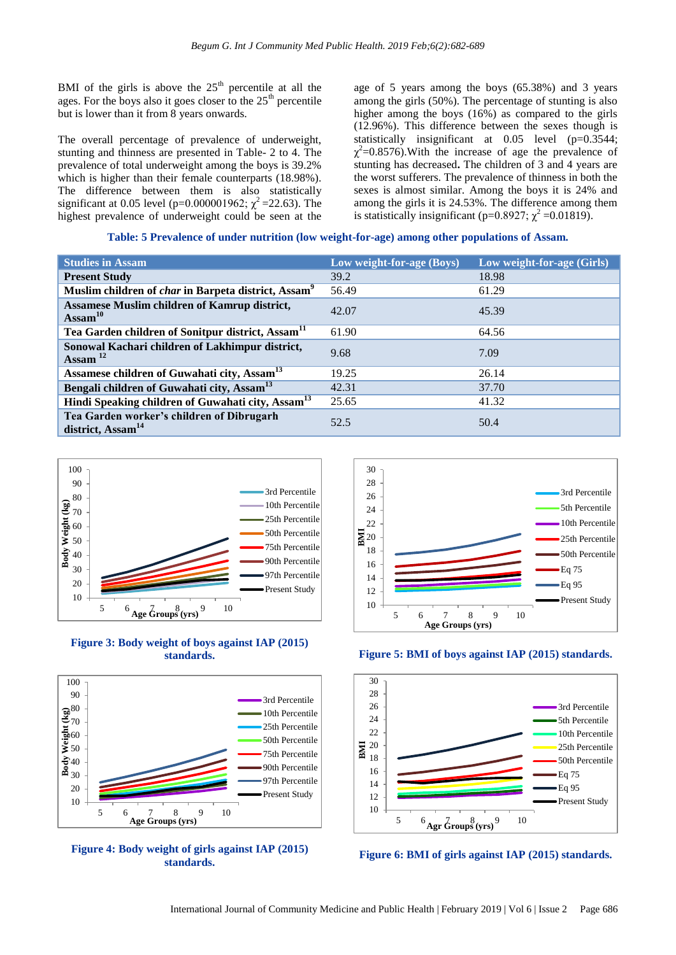BMI of the girls is above the  $25<sup>th</sup>$  percentile at all the ages. For the boys also it goes closer to the  $25<sup>th</sup>$  percentile but is lower than it from 8 years onwards.

The overall percentage of prevalence of underweight, stunting and thinness are presented in Table- 2 to 4. The prevalence of total underweight among the boys is 39.2% which is higher than their female counterparts (18.98%). The difference between them is also statistically significant at 0.05 level (p=0.000001962;  $\chi^2$  =22.63). The highest prevalence of underweight could be seen at the

age of 5 years among the boys (65.38%) and 3 years among the girls (50%). The percentage of stunting is also higher among the boys (16%) as compared to the girls (12.96%). This difference between the sexes though is statistically insignificant at 0.05 level (p=0.3544;  $\chi^2$ =0.8576). With the increase of age the prevalence of stunting has decreased**.** The children of 3 and 4 years are the worst sufferers. The prevalence of thinness in both the sexes is almost similar. Among the boys it is 24% and among the girls it is 24.53%. The difference among them is statistically insignificant (p=0.8927;  $\chi^2$  =0.01819).

#### **Table: 5 Prevalence of under nutrition (low weight-for-age) among other populations of Assam.**

| <b>Studies in Assam</b>                                                    | Low weight-for-age (Boys) | Low weight-for-age (Girls) |
|----------------------------------------------------------------------------|---------------------------|----------------------------|
| <b>Present Study</b>                                                       | 39.2                      | 18.98                      |
| Muslim children of <i>char</i> in Barpeta district, Assam <sup>9</sup>     | 56.49                     | 61.29                      |
| <b>Assamese Muslim children of Kamrup district,</b><br>$\text{Assam}^{10}$ | 42.07                     | 45.39                      |
| Tea Garden children of Sonitpur district, Assam <sup>11</sup>              | 61.90                     | 64.56                      |
| Sonowal Kachari children of Lakhimpur district,<br>Assam $^{12}$           | 9.68                      | 7.09                       |
| Assamese children of Guwahati city, Assam <sup>13</sup>                    | 19.25                     | 26.14                      |
| Bengali children of Guwahati city, Assam <sup>13</sup>                     | 42.31                     | 37.70                      |
| Hindi Speaking children of Guwahati city, Assam <sup>13</sup>              | 25.65                     | 41.32                      |
| Tea Garden worker's children of Dibrugarh<br>district, Assam <sup>14</sup> | 52.5                      | 50.4                       |



#### **Figure 3: Body weight of boys against IAP (2015) standards.**







#### **Figure 5: BMI of boys against IAP (2015) standards.**



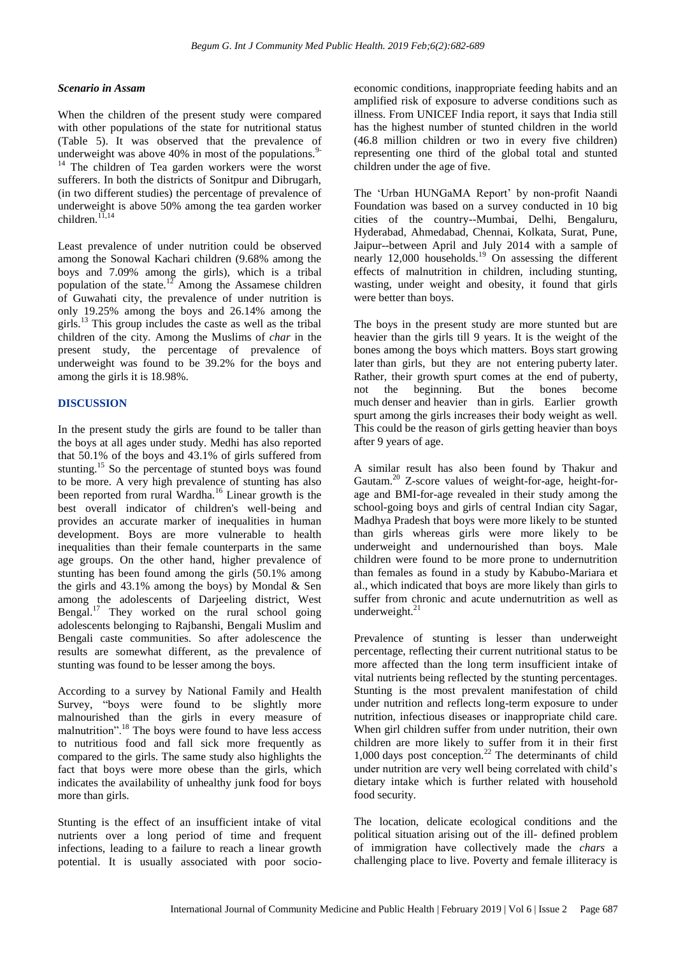#### *Scenario in Assam*

When the children of the present study were compared with other populations of the state for nutritional status (Table 5). It was observed that the prevalence of underweight was above  $40\%$  in most of the populations.<sup>9</sup> <sup>14</sup> The children of Tea garden workers were the worst sufferers. In both the districts of Sonitpur and Dibrugarh, (in two different studies) the percentage of prevalence of underweight is above 50% among the tea garden worker children.<sup>11,14</sup>

Least prevalence of under nutrition could be observed among the Sonowal Kachari children (9.68% among the boys and 7.09% among the girls), which is a tribal population of the state.<sup>12</sup> Among the Assamese children of Guwahati city, the prevalence of under nutrition is only 19.25% among the boys and 26.14% among the girls.<sup>13</sup> This group includes the caste as well as the tribal children of the city. Among the Muslims of *char* in the present study, the percentage of prevalence of underweight was found to be 39.2% for the boys and among the girls it is 18.98%.

#### **DISCUSSION**

In the present study the girls are found to be taller than the boys at all ages under study. Medhi has also reported that 50.1% of the boys and 43.1% of girls suffered from stunting.<sup>15</sup> So the percentage of stunted boys was found to be more. A very high prevalence of stunting has also been reported from rural Wardha.<sup>16</sup> Linear growth is the best overall indicator of children's well‐being and provides an accurate marker of inequalities in human development. Boys are more vulnerable to health inequalities than their female counterparts in the same age groups. On the other hand, higher prevalence of stunting has been found among the girls (50.1% among the girls and 43.1% among the boys) by Mondal & Sen among the adolescents of Darjeeling district, West Bengal.<sup>17</sup> They worked on the rural school going adolescents belonging to Rajbanshi, Bengali Muslim and Bengali caste communities. So after adolescence the results are somewhat different, as the prevalence of stunting was found to be lesser among the boys.

According to a survey by National Family and Health Survey, "boys were found to be slightly more malnourished than the girls in every measure of malnutrition".<sup>18</sup> The boys were found to have less access to nutritious food and fall sick more frequently as compared to the girls. The same study also highlights the fact that boys were more obese than the girls, which indicates the availability of unhealthy junk food for boys more than girls.

Stunting is the effect of an insufficient intake of vital nutrients over a long period of time and frequent infections, leading to a failure to reach a linear growth potential. It is usually associated with poor socioeconomic conditions, inappropriate feeding habits and an amplified risk of exposure to adverse conditions such as illness. From UNICEF India report, it says that India still has the highest number of stunted children in the world (46.8 million children or two in every five children) representing one third of the global total and stunted children under the age of five.

The "Urban HUNGaMA Report" by non-profit Naandi Foundation was based on a survey conducted in 10 big cities of the country--Mumbai, Delhi, Bengaluru, Hyderabad, Ahmedabad, Chennai, Kolkata, Surat, Pune, Jaipur--between April and July 2014 with a sample of nearly 12,000 households.<sup>19</sup> On assessing the different effects of malnutrition in children, including stunting, wasting, under weight and obesity, it found that girls were better than boys.

The boys in the present study are more stunted but are heavier than the girls till 9 years. It is the weight of the bones among the boys which matters. Boys start growing later than girls, but they are not entering puberty later. Rather, their growth spurt comes at the end of puberty, not the beginning. But the bones become much denser and heavier than in girls. Earlier growth spurt among the girls increases their body weight as well. This could be the reason of girls getting heavier than boys after 9 years of age.

A similar result has also been found by Thakur and Gautam.<sup>20</sup> Z-score values of weight-for-age, height-forage and BMI-for-age revealed in their study among the school-going boys and girls of central Indian city Sagar, Madhya Pradesh that boys were more likely to be stunted than girls whereas girls were more likely to be underweight and undernourished than boys. Male children were found to be more prone to undernutrition than females as found in a study by Kabubo-Mariara et al., which indicated that boys are more likely than girls to suffer from chronic and acute undernutrition as well as underweight. $^{21}$ 

Prevalence of stunting is lesser than underweight percentage, reflecting their current nutritional status to be more affected than the long term insufficient intake of vital nutrients being reflected by the stunting percentages. Stunting is the most prevalent manifestation of child under nutrition and reflects long-term exposure to under nutrition, infectious diseases or inappropriate child care. When girl children suffer from under nutrition, their own children are more likely to suffer from it in their first 1,000 days post conception. $^{22}$  The determinants of child under nutrition are very well being correlated with child"s dietary intake which is further related with household food security.

The location, delicate ecological conditions and the political situation arising out of the ill- defined problem of immigration have collectively made the *chars* a challenging place to live. Poverty and female illiteracy is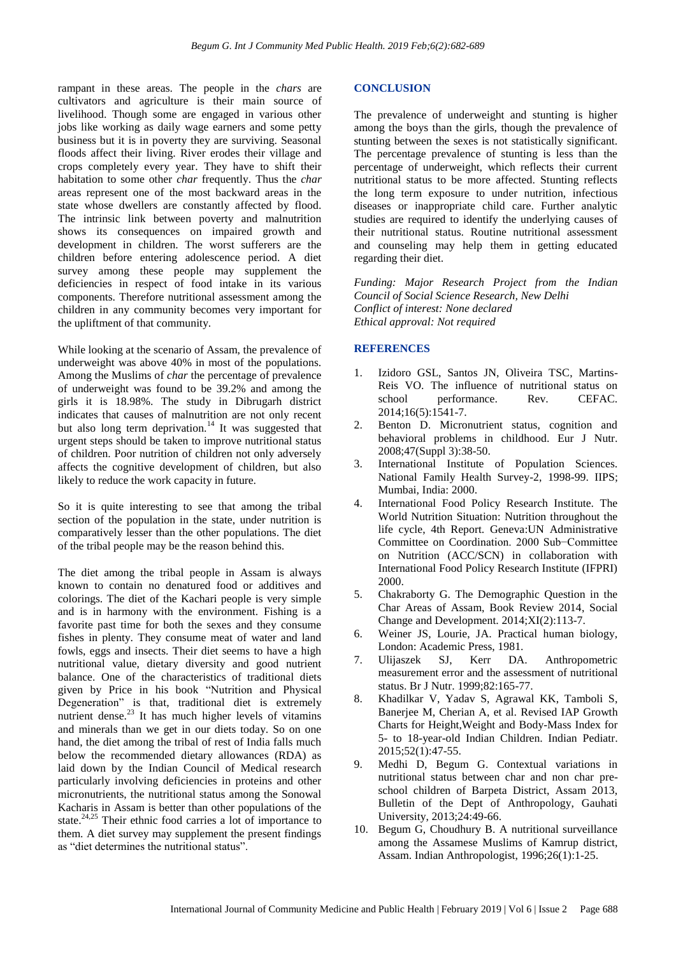rampant in these areas. The people in the *chars* are cultivators and agriculture is their main source of livelihood. Though some are engaged in various other jobs like working as daily wage earners and some petty business but it is in poverty they are surviving. Seasonal floods affect their living. River erodes their village and crops completely every year. They have to shift their habitation to some other *char* frequently. Thus the *char* areas represent one of the most backward areas in the state whose dwellers are constantly affected by flood. The intrinsic link between poverty and malnutrition shows its consequences on impaired growth and development in children. The worst sufferers are the children before entering adolescence period. A diet survey among these people may supplement the deficiencies in respect of food intake in its various components. Therefore nutritional assessment among the children in any community becomes very important for the upliftment of that community.

While looking at the scenario of Assam, the prevalence of underweight was above 40% in most of the populations. Among the Muslims of *char* the percentage of prevalence of underweight was found to be 39.2% and among the girls it is 18.98%. The study in Dibrugarh district indicates that causes of malnutrition are not only recent but also long term deprivation.<sup>14</sup> It was suggested that urgent steps should be taken to improve nutritional status of children. Poor nutrition of children not only adversely affects the cognitive development of children, but also likely to reduce the work capacity in future.

So it is quite interesting to see that among the tribal section of the population in the state, under nutrition is comparatively lesser than the other populations. The diet of the tribal people may be the reason behind this.

The diet among the tribal people in Assam is always known to contain no denatured food or additives and colorings. The diet of the Kachari people is very simple and is in harmony with the environment. Fishing is a favorite past time for both the sexes and they consume fishes in plenty. They consume meat of water and land fowls, eggs and insects. Their diet seems to have a high nutritional value, dietary diversity and good nutrient balance. One of the characteristics of traditional diets given by Price in his book "Nutrition and Physical Degeneration" is that, traditional diet is extremely nutrient dense. $^{23}$  It has much higher levels of vitamins and minerals than we get in our diets today. So on one hand, the diet among the tribal of rest of India falls much below the recommended dietary allowances (RDA) as laid down by the Indian Council of Medical research particularly involving deficiencies in proteins and other micronutrients, the nutritional status among the Sonowal Kacharis in Assam is better than other populations of the state.<sup>24,25</sup> Their ethnic food carries a lot of importance to them. A diet survey may supplement the present findings as "diet determines the nutritional status".

#### **CONCLUSION**

The prevalence of underweight and stunting is higher among the boys than the girls, though the prevalence of stunting between the sexes is not statistically significant. The percentage prevalence of stunting is less than the percentage of underweight, which reflects their current nutritional status to be more affected. Stunting reflects the long term exposure to under nutrition, infectious diseases or inappropriate child care. Further analytic studies are required to identify the underlying causes of their nutritional status. Routine nutritional assessment and counseling may help them in getting educated regarding their diet.

*Funding: Major Research Project from the Indian Council of Social Science Research, New Delhi Conflict of interest: None declared Ethical approval: Not required*

#### **REFERENCES**

- 1. Izidoro GSL, Santos JN, Oliveira TSC, Martins-Reis VO. The influence of nutritional status on school performance. Rev. CEFAC. 2014;16(5):1541-7.
- 2. Benton D. Micronutrient status, cognition and behavioral problems in childhood. Eur J Nutr. 2008;47(Suppl 3):38-50.
- 3. International Institute of Population Sciences. National Family Health Survey-2, 1998-99. IIPS; Mumbai, India: 2000.
- 4. International Food Policy Research Institute. The World Nutrition Situation: Nutrition throughout the life cycle, 4th Report. Geneva:UN Administrative Committee on Coordination. 2000 Sub−Committee on Nutrition (ACC/SCN) in collaboration with International Food Policy Research Institute (IFPRI) 2000.
- 5. Chakraborty G. The Demographic Question in the Char Areas of Assam, Book Review 2014, Social Change and Development. 2014;XI(2):113-7.
- 6. Weiner JS, Lourie, JA. Practical human biology, London: Academic Press, 1981.
- 7. Ulijaszek SJ, Kerr DA. Anthropometric measurement error and the assessment of nutritional status. Br J Nutr. 1999;82:165-77.
- 8. Khadilkar V, Yadav S, Agrawal KK, Tamboli S, Banerjee M, Cherian A, et al. Revised IAP Growth Charts for Height,Weight and Body-Mass Index for 5- to 18-year-old Indian Children. Indian Pediatr. 2015;52(1):47-55.
- 9. Medhi D, Begum G. Contextual variations in nutritional status between char and non char preschool children of Barpeta District, Assam 2013, Bulletin of the Dept of Anthropology, Gauhati University, 2013;24:49-66.
- 10. Begum G, Choudhury B. A nutritional surveillance among the Assamese Muslims of Kamrup district, Assam. Indian Anthropologist, 1996;26(1):1-25.